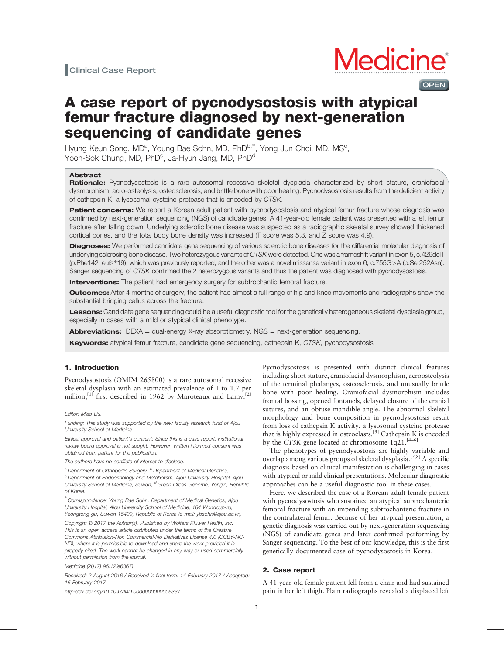# **OPEN**

# A case report of pycnodysostosis with atypical femur fracture diagnosed by next-generation sequencing of candidate genes

Hyung Keun Song, MD<sup>a</sup>, Young Bae Sohn, MD, PhD<sup>b,\*</sup>, Yong Jun Choi, MD, MS<sup>c</sup>, Yoon-Sok Chung, MD, PhD<sup>c</sup>, Ja-Hyun Jang, MD, PhD<sup>d</sup>

### **Abstract**

Rationale: Pycnodysostosis is a rare autosomal recessive skeletal dysplasia characterized by short stature, craniofacial dysmorphism, acro-osteolysis, osteosclerosis, and brittle bone with poor healing. Pycnodysostosis results from the deficient activity of cathepsin K, a lysosomal cysteine protease that is encoded by CTSK.

Patient concerns: We report a Korean adult patient with pycnodysostosis and atypical femur fracture whose diagnosis was confirmed by next-generation sequencing (NGS) of candidate genes. A 41-year-old female patient was presented with a left femur fracture after falling down. Underlying sclerotic bone disease was suspected as a radiographic skeletal survey showed thickened cortical bones, and the total body bone density was increased (T score was 5.3, and Z score was 4.9).

Diagnoses: We performed candidate gene sequencing of various sclerotic bone diseases for the differential molecular diagnosis of underlying sclerosing bone disease. Two heterozygous variants of CTSK were detected. One was a frameshift variant in exon 5, c.426deIT (p.Phe142Leufs∗19), which was previously reported, and the other was a novel missense variant in exon 6, c.755G>A (p.Ser252Asn). Sanger sequencing of CTSK confirmed the 2 heterozygous variants and thus the patient was diagnosed with pycnodysostosis.

**Interventions:** The patient had emergency surgery for subtrochantic femoral fracture.

**Outcomes:** After 4 months of surgery, the patient had almost a full range of hip and knee movements and radiographs show the substantial bridging callus across the fracture.

Lessons: Candidate gene sequencing could be a useful diagnostic tool for the genetically heterogeneous skeletal dysplasia group, especially in cases with a mild or atypical clinical phenotype.

Abbreviations: DEXA = dual-energy X-ray absorptiometry, NGS = next-generation sequencing.

**Keywords:** atypical femur fracture, candidate gene sequencing, cathepsin K, CTSK, pycnodysostosis

# 1. Introduction

Pycnodysostosis (OMIM 265800) is a rare autosomal recessive skeletal dysplasia with an estimated prevalence of 1 to 1.7 per million,<sup>[\[1\]](#page-4-0)</sup> first described in 1962 by Maroteaux and Lamy.<sup>[\[2\]](#page-4-0)</sup>

#### Editor: Miao Liu.

Funding: This study was supported by the new faculty research fund of Ajou University School of Medicine.

Ethical approval and patient's consent: Since this is a case report, institutional review board approval is not sought. However, written informed consent was obtained from patient for the publication.

The authors have no conflicts of interest to disclose.

<sup>a</sup> Department of Orthopedic Surgery, <sup>b</sup> Department of Medical Genetics,  $c$  Department of Endocrinology and Metabolism, Ajou University Hospital, Ajou University School of Medicine, Suwon, <sup>d</sup> Green Cross Genome, Yongin, Republic of Korea.

∗ Correspondence: Young Bae Sohn, Department of Medical Genetics, Ajou University Hospital, Ajou University School of Medicine, 164 Worldcup-ro, Yeongtong-gu, Suwon 16499, Republic of Korea (e-mail: [ybsohn@ajou.ac.kr](mailto:ybsohn@ajou.ac.kr)).

Copyright © 2017 the Author(s). Published by Wolters Kluwer Health, Inc. This is an open access article distributed under the terms of the [Creative](http://creativecommons.org/licenses/by-nc-nd/4.0) [Commons Attribution-Non Commercial-No Derivatives License 4.0](http://creativecommons.org/licenses/by-nc-nd/4.0) (CCBY-NC-ND), where it is permissible to download and share the work provided it is properly cited. The work cannot be changed in any way or used commercially without permission from the journal.

Medicine (2017) 96:12(e6367)

Received: 2 August 2016 / Received in final form: 14 February 2017 / Accepted: 15 February 2017

<http://dx.doi.org/10.1097/MD.0000000000006367>

Pycnodysostosis is presented with distinct clinical features including short stature, craniofacial dysmorphism, acroosteolysis of the terminal phalanges, osteosclerosis, and unusually brittle bone with poor healing. Craniofacial dysmorphism includes frontal bossing, opened fontanels, delayed closure of the cranial sutures, and an obtuse mandible angle. The abnormal skeletal morphology and bone composition in pycnodysostosis result from loss of cathepsin K activity, a lysosomal cysteine protease that is highly expressed in osteoclasts.[\[3\]](#page-4-0) Cathepsin K is encoded by the CTSK gene located at chromosome  $1q\overline{2}1.^{[4-6]}$ 

The phenotypes of pycnodysostosis are highly variable and overlap among various groups of skeletal dysplasia.<sup>[7,8]</sup> A specific diagnosis based on clinical manifestation is challenging in cases with atypical or mild clinical presentations. Molecular diagnostic approaches can be a useful diagnostic tool in these cases.

Here, we described the case of a Korean adult female patient with pycnodysostosis who sustained an atypical subtrochanteric femoral fracture with an impending subtrochanteric fracture in the contralateral femur. Because of her atypical presentation, a genetic diagnosis was carried out by next-generation sequencing (NGS) of candidate genes and later confirmed performing by Sanger sequencing. To the best of our knowledge, this is the first genetically documented case of pycnodysostosis in Korea.

#### 2. Case report

A 41-year-old female patient fell from a chair and had sustained pain in her left thigh. Plain radiographs revealed a displaced left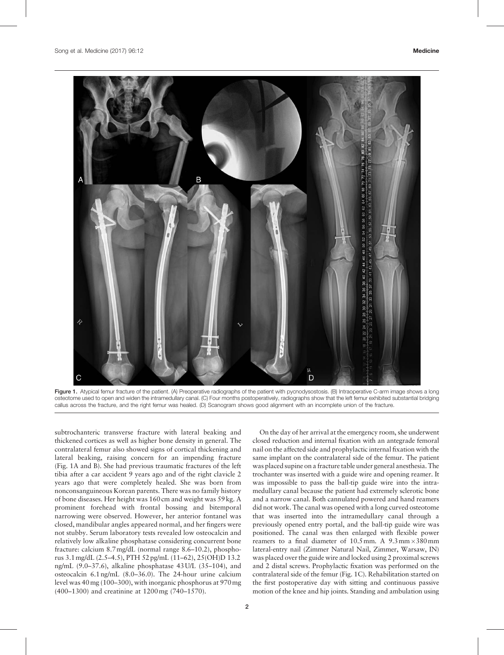<span id="page-1-0"></span>

Figure 1. Atypical femur fracture of the patient. (A) Preoperative radiographs of the patient with pycnodysostosis. (B) Intraoperative C-arm image shows a long osteotome used to open and widen the intramedullary canal. (C) Four months postoperatively, radiographs show that the left femur exhibited substantial bridging callus across the fracture, and the right femur was healed. (D) Scanogram shows good alignment with an incomplete union of the fracture.

subtrochanteric transverse fracture with lateral beaking and thickened cortices as well as higher bone density in general. The contralateral femur also showed signs of cortical thickening and lateral beaking, raising concern for an impending fracture (Fig. 1A and B). She had previous traumatic fractures of the left tibia after a car accident 9 years ago and of the right clavicle 2 years ago that were completely healed. She was born from nonconsanguineous Korean parents. There was no family history of bone diseases. Her height was 160 cm and weight was 59 kg. A prominent forehead with frontal bossing and bitemporal narrowing were observed. However, her anterior fontanel was closed, mandibular angles appeared normal, and her fingers were not stubby. Serum laboratory tests revealed low osteocalcin and relatively low alkaline phosphatase considering concurrent bone fracture: calcium 8.7mg/dL (normal range 8.6–10.2), phosphorus 3.1mg/dL (2.5–4.5), PTH 52 pg/mL (11–62), 25(OH)D 13.2 ng/mL (9.0–37.6), alkaline phosphatase 43 U/L (35–104), and osteocalcin 6.1 ng/mL (8.0–36.0). The 24-hour urine calcium level was 40mg (100–300), with inorganic phosphorus at 970mg (400–1300) and creatinine at 1200mg (740–1570).

On the day of her arrival at the emergency room, she underwent closed reduction and internal fixation with an antegrade femoral nail on the affected side and prophylactic internal fixation with the same implant on the contralateral side of the femur. The patient was placed supine on a fracture table under general anesthesia. The trochanter was inserted with a guide wire and opening reamer. It was impossible to pass the ball-tip guide wire into the intramedullary canal because the patient had extremely sclerotic bone and a narrow canal. Both cannulated powered and hand reamers did not work. The canal was opened with a long curved osteotome that was inserted into the intramedullary canal through a previously opened entry portal, and the ball-tip guide wire was positioned. The canal was then enlarged with flexible power reamers to a final diameter of  $10.5$  mm. A  $9.3$  mm $\times380$  mm lateral-entry nail (Zimmer Natural Nail, Zimmer, Warsaw, IN) was placed over the guide wire and locked using 2 proximal screws and 2 distal screws. Prophylactic fixation was performed on the contralateral side of the femur (Fig. 1C). Rehabilitation started on the first postoperative day with sitting and continuous passive motion of the knee and hip joints. Standing and ambulation using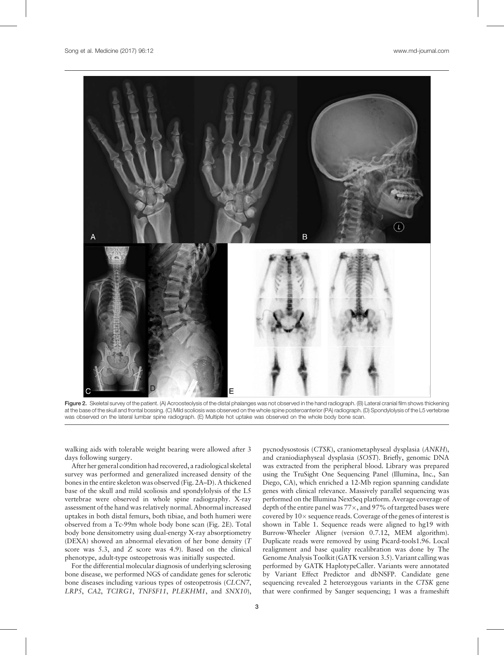

Figure 2. Skeletal survey of the patient. (A) Acroosteolysis of the distal phalanges was not observed in the hand radiograph. (B) Lateral cranial film shows thickening at the base of the skull and frontal bossing. (C) Mild scoliosis was observed on the whole spine posteroanterior (PA) radiograph. (D) Spondylolysis of the L5 vertebrae was observed on the lateral lumbar spine radiograph. (E) Multiple hot uptake was observed on the whole body bone scan.

walking aids with tolerable weight bearing were allowed after 3 days following surgery.

After her general condition had recovered, a radiological skeletal survey was performed and generalized increased density of the bones in the entire skeleton was observed (Fig. 2A–D). A thickened base of the skull and mild scoliosis and spondylolysis of the L5 vertebrae were observed in whole spine radiography. X-ray assessment of the hand was relatively normal. Abnormal increased uptakes in both distal femurs, both tibiae, and both humeri were observed from a Tc-99m whole body bone scan (Fig. 2E). Total body bone densitometry using dual-energy X-ray absorptiometry (DEXA) showed an abnormal elevation of her bone density (T score was 5.3, and Z score was 4.9). Based on the clinical phenotype, adult-type osteopetrosis was initially suspected.

For the differential molecular diagnosis of underlying sclerosing bone disease, we performed NGS of candidate genes for sclerotic bone diseases including various types of osteopetrosis (CLCN7, LRP5, CA2, TCIRG1, TNFSF11, PLEKHM1, and SNX10),

pycnodysostosis (CTSK), craniometaphyseal dysplasia (ANKH), and craniodiaphyseal dysplasia (SOST). Briefly, genomic DNA was extracted from the peripheral blood. Library was prepared using the TruSight One Sequencing Panel (Illumina, Inc., San Diego, CA), which enriched a 12-Mb region spanning candidate genes with clinical relevance. Massively parallel sequencing was performed on the Illumina NextSeq platform. Average coverage of depth of the entire panel was  $77\times$ , and  $97\%$  of targeted bases were covered by  $10 \times$  sequence reads. Coverage of the genes of interest is shown in [Table 1.](#page-3-0) Sequence reads were aligned to hg19 with Burrow-Wheeler Aligner (version 0.7.12, MEM algorithm). Duplicate reads were removed by using Picard-tools1.96. Local realignment and base quality recalibration was done by The Genome Analysis Toolkit (GATK version 3.5). Variant calling was performed by GATK HaplotypeCaller. Variants were annotated by Variant Effect Predictor and dbNSFP. Candidate gene sequencing revealed 2 heterozygous variants in the CTSK gene that were confirmed by Sanger sequencing; 1 was a frameshift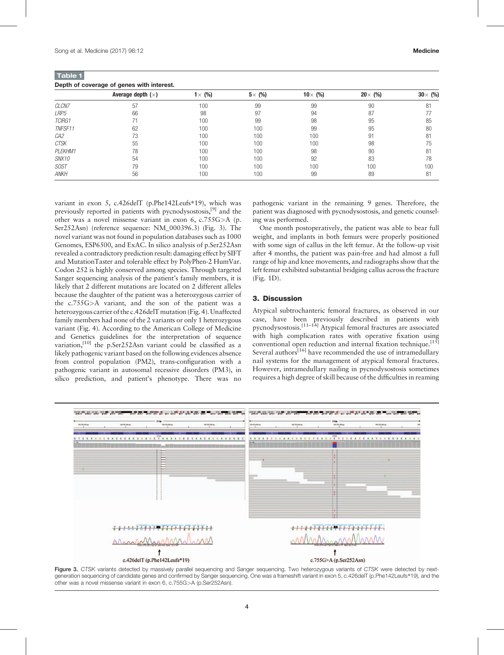<span id="page-3-0"></span>Table 1 Depth of coverage of genes with interest.

|              | Average depth $(\times)$ | $1 \times (%)$ | $5 \times (%)$ | 10 $\times$ (%) | $20 \times (%)$ | $30 \times (%)$ |
|--------------|--------------------------|----------------|----------------|-----------------|-----------------|-----------------|
| CLCN7        | 57                       | 100            | 99             | 99              | 90              | 81              |
| LRP5         | 66                       | 98             | 97             | 94              | 87              | 77              |
| TCIRG1       |                          | 100            | 99             | 98              | 95              | 85              |
| TNFSF11      | 62                       | 100            | 100            | 99              | 95              | 80              |
| CA2          | 73                       | 100            | 100            | 100             | 91              | 81              |
| <b>CTSK</b>  | 55                       | 100            | 100            | 100             | 98              | 75              |
| PLEKHM1      | 78                       | 100            | 100            | 98              | 90              | 81              |
| <i>SNX10</i> | 54                       | 100            | 100            | 92              | 83              | 78              |
| <b>SOST</b>  | 79                       | 100            | 100            | 100             | 100             | 100             |
| <b>ANKH</b>  | 56                       | 100            | 100            | 99              | 89              | 81              |

variant in exon 5, c.426delT (p.Phe142Leufs∗19), which was previously reported in patients with pycnodysostosis[,\[9\]](#page-4-0) and the other was a novel missense variant in exon 6, c.755G>A (p. Ser252Asn) (reference sequence: NM\_000396.3) (Fig. 3). The novel variant was not found in population databases such as 1000 Genomes, ESP6500, and ExAC. In silico analysis of p.Ser252Asn revealed a contradictory prediction result: damaging effect by SIFT and MutationTaster and tolerable effect by PolyPhen-2 HumVar. Codon 252 is highly conserved among species. Through targeted Sanger sequencing analysis of the patient's family members, it is likely that 2 different mutations are located on 2 different alleles because the daughter of the patient was a heterozygous carrier of the c.755G>A variant, and the son of the patient was a heterozygous carrier of the c.426delT mutation [\(Fig. 4\)](#page-4-0). Unaffected family members had none of the 2 variants or only 1 heterozygous variant [\(Fig. 4](#page-4-0)). According to the American College of Medicine and Genetics guidelines for the interpretation of sequence variation,<sup>[10]</sup> the p.Ser252Asn variant could be classified as a likely pathogenic variant based on the following evidences absence from control population (PM2), trans-configuration with a pathogenic variant in autosomal recessive disorders (PM3), in silico prediction, and patient's phenotype. There was no

pathogenic variant in the remaining 9 genes. Therefore, the patient was diagnosed with pycnodysostosis, and genetic counseling was performed.

One month postoperatively, the patient was able to bear full weight, and implants in both femurs were properly positioned with some sign of callus in the left femur. At the follow-up visit after 4 months, the patient was pain-free and had almost a full range of hip and knee movements, and radiographs show that the left femur exhibited substantial bridging callus across the fracture ([Fig. 1D](#page-1-0)).

# 3. Discussion

Atypical subtrochanteric femoral fractures, as observed in our case, have been previously described in patients with pycnodysostosis.[11–14] Atypical femoral fractures are associated with high complication rates with operative fixation using conventional open reduction and internal fixation technique.<sup>[\[15\]](#page-4-0)</sup> Several authors $\tilde{\mathbf{S}}^{[16]}$  $\tilde{\mathbf{S}}^{[16]}$  $\tilde{\mathbf{S}}^{[16]}$  have recommended the use of intramedullary nail systems for the management of atypical femoral fractures. However, intramedullary nailing in pycnodysostosis sometimes requires a high degree of skill because of the difficulties in reaming



Figure 3. CTSK variants detected by massively parallel sequencing and Sanger sequencing. Two heterozygous variants of CTSK were detected by nextgeneration sequencing of candidate genes and confirmed by Sanger sequencing. One was a frameshift variant in exon 5, c.426delT (p.Phe142Leufs\*19), and the other was a novel missense variant in exon 6, c.755G>A (p.Ser252Asn).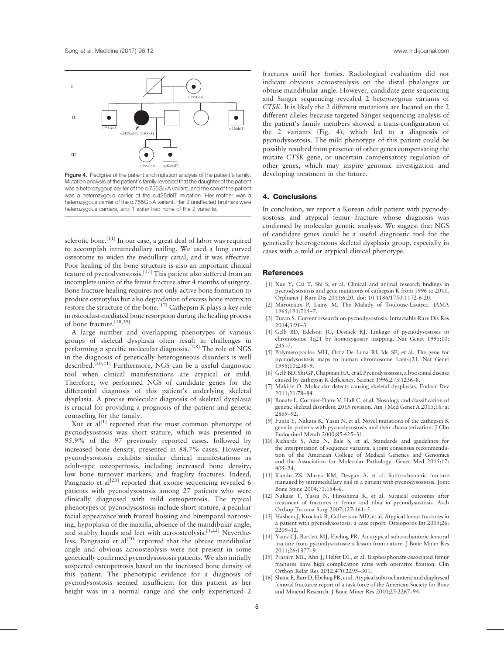<span id="page-4-0"></span>

Figure 4. Pedigree of the patient and mutation analysis of the patient's family. Mutation analysis of the patient's family revealed that the daughter of the patient was a heterozygous carrier of the c.755G>A variant, and the son of the patient was a heterozygous carrier of the c.426delT mutation. Her mother was a heterozygous carrier of the c.755G>A variant. Her 2 unaffected brothers were heterozygous carriers, and 1 sister had none of the 2 variants.

sclerotic bone.<sup>[11]</sup> In our case, a great deal of labor was required to accomplish intramedullary nailing. We used a long curved osteotome to widen the medullary canal, and it was effective. Poor healing of the bone structure is also an important clinical feature of pycnodysostosis.[\[17\]](#page-5-0) This patient also suffered from an incomplete union of the femur fracture after 4 months of surgery. Bone fracture healing requires not only active bone formation to produce osteotylus but also degradation of excess bone matrix to restore the structure of the bone.<sup>[\[17\]](#page-5-0)</sup> Cathepsin K plays a key role in osteoclast-mediated bone resorption during the healing process of bone fracture.<sup>[18,19]</sup>

A large number and overlapping phenotypes of various groups of skeletal dysplasia often result in challenges in performing a specific molecular diagnosis.<sup>[7,8]</sup> The role of NGS in the diagnosis of genetically heterogeneous disorders is well described.<sup>[20,21]</sup> Furthermore, NGS can be a useful diagnostic tool when clinical manifestations are atypical or mild. Therefore, we performed NGS of candidate genes for the differential diagnosis of this patient's underlying skeletal dysplasia. A precise molecular diagnosis of skeletal dysplasia is crucial for providing a prognosis of the patient and genetic counseling for the family.

Xue et al<sup>[1]</sup> reported that the most common phenotype of pycnodysostosis was short stature, which was presented in 95.9% of the 97 previously reported cases, followed by increased bone density, presented in 88.7% cases. However, pycnodysostosis exhibits similar clinical manifestations as adult-type osteopetrosis, including increased bone density, low bone turnover markers, and fragility fractures. Indeed, Pangrazio et  $al^{[20]}$  $al^{[20]}$  $al^{[20]}$  reported that exome sequencing revealed 6 patients with pycnodysostosis among 27 patients who were clinically diagnosed with mild osteopetrosis. The typical phenotypes of pycnodysostosis include short stature, a peculiar facial appearance with frontal bossing and bitemporal narrowing, hypoplasia of the maxilla, absence of the mandibular angle, and stubby hands and feet with acroosteolysis.<sup>[1,22]</sup> Neverthe-less, Pangrazio et al<sup>[\[20\]](#page-5-0)</sup> reported that the obtuse mandibular angle and obvious acroosteolysis were not present in some genetically confirmed pycnodysostosis patients. We also initially suspected osteopetrosis based on the increased bone density of this patient. The phenotypic evidence for a diagnosis of pycnodysostosis seemed insufficient for this patient as her height was in a normal range and she only experienced 2

fractures until her forties. Radiological evaluation did not indicate obvious acroosteolysis on the distal phalanges or obtuse mandibular angle. However, candidate gene sequencing and Sanger sequencing revealed 2 heterozygous variants of CTSK. It is likely the 2 different mutations are located on the 2 different alleles because targeted Sanger sequencing analysis of the patient's family members showed a trans-configuration of the 2 variants (Fig. 4), which led to a diagnosis of pycnodysostosis. The mild phenotype of this patient could be possibly resulted from presence of other genes compensating the mutate CTSK gene, or uncertain compensatory regulation of other genes, which may inspire genomic investigation and developing treatment in the future.

#### 4. Conclusions

In conclusion, we report a Korean adult patient with pycnodysostosis and atypical femur fracture whose diagnosis was confirmed by molecular genetic analysis. We suggest that NGS of candidate genes could be a useful diagnostic tool for the genetically heterogeneous skeletal dysplasia group, especially in cases with a mild or atypical clinical phenotype.

#### **References**

- [1] Xue Y, Cai T, Shi S, et al. Clinical and animal research findings in pycnodysostosis and gene mutations of cathepsin K from 1996 to 2011. Orphanet J Rare Dis 2011;6:20, doi: 10.1186/1750-1172-6-20.
- [2] Maroteaux P, Lamy M. The Malady of Toulouse-Lautrec. JAMA 1965;191:715–7.
- [3] Turan S. Current research on pycnodysostosis. Intractable Rare Dis Res 2014;3:91–3.
- [4] Gelb BD, Edelson JG, Desnick RJ. Linkage of pycnodysostosis to chromosome 1q21 by homozygosity mapping. Nat Genet 1995;10: 235–7.
- [5] Polymeropoulos MH, Ortiz De Luna RI, Ide SE, et al. The gene for pycnodysostosis maps to human chromosome 1cen-q21. Nat Genet 1995;10:238–9.
- [6] Gelb BD, Shi GP, Chapman HA, et al. Pycnodysostosis, a lysosomal disease caused by cathepsin K deficiency. Science 1996;273:1236–8.
- Makitie O. Molecular defects causing skeletal dysplasias. Endocr Dev 2011;21:78–84.
- [8] Bonafe L, Cormier-Daire V, Hall C, et al. Nosology and classification of genetic skeletal disorders: 2015 revision. Am J Med Genet A 2015;167a: 2869–92.
- [9] Fujita Y, Nakata K, Yasui N, et al. Novel mutations of the cathepsin K gene in patients with pycnodysostosis and their characterization. J Clin Endocrinol Metab 2000;85:425–31.
- [10] Richards S, Aziz N, Bale S, et al. Standards and guidelines for the interpretation of sequence variants: a joint consensus recommendation of the American College of Medical Genetics and Genomics and the Association for Molecular Pathology. Genet Med 2015;17: 405–24.
- [11] Kundu ZS, Marya KM, Devgan A, et al. Subtrochanteric fracture managed by intramedullary nail in a patient with pycnodysostosis. Joint Bone Spine 2004;71:154–6.
- [12] Nakase T, Yasui N, Hiroshima K, et al. Surgical outcomes after treatment of fractures in femur and tibia in pycnodysostosis. Arch Orthop Trauma Surg 2007;127:161–5.
- [13] Hashem J, Krochak R, Culbertson MD, et al. Atypical femur fractures in a patient with pycnodysostosis: a case report. Osteoporos Int 2015;26: 2209–12.
- [14] Yates CJ, Bartlett MJ, Ebeling PR. An atypical subtrochanteric femoral fracture from pycnodysostosis: a lesson from nature. J Bone Miner Res 2011;26:1377–9.
- [15] Prasarn ML, Ahn J, Helfet DL, et al. Bisphosphonate-associated femur fractures have high complication rates with operative fixation. Clin Orthop Relat Res 2012;470:2295–301.
- [16] Shane E, Burr D, Ebeling PR, et al. Atypical subtrochanteric and diaphyseal femoral fractures: report of a task force of the American Society for Bone and Mineral Research. J Bone Miner Res 2010;25:2267–94.